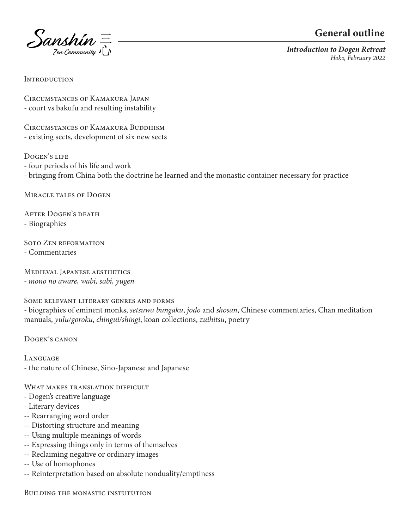



*Introduction to Dogen Retreat Hoko, February 2022*

**INTRODUCTION** 

Circumstances of Kamakura Japan - court vs bakufu and resulting instability

CIRCUMSTANCES OF KAMAKURA BUDDHISM - existing sects, development of six new sects

Dogen's life

- four periods of his life and work
- bringing from China both the doctrine he learned and the monastic container necessary for practice

Miracle tales of Dogen

After Dogen's death - Biographies

Soto Zen reformation - Commentaries

Medieval Japanese aesthetics *- mono no aware, wabi, sabi, yugen*

Some relevant literary genres and forms

- biographies of eminent monks, *setsuwa bungaku*, *jodo* and *shosan*, Chinese commentaries, Chan meditation manuals, *yulu/goroku*, *chingui/shingi*, koan collections, *zuihitsu*, poetry

Dogen's canon

Language - the nature of Chinese, Sino-Japanese and Japanese

WHAT MAKES TRANSLATION DIFFICULT

- Dogen's creative language
- Literary devices
- -- Rearranging word order
- -- Distorting structure and meaning
- -- Using multiple meanings of words
- -- Expressing things only in terms of themselves
- -- Reclaiming negative or ordinary images
- -- Use of homophones
- -- Reinterpretation based on absolute nonduality/emptiness

Building the monastic instutution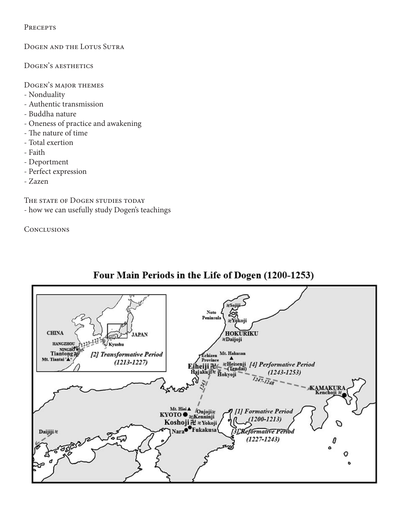**PRECEPTS** 

Dogen and the Lotus Sutra

DOGEN'S AESTHETICS

Dogen's major themes

- Nonduality
- Authentic transmission
- Buddha nature
- Oneness of practice and awakening
- The nature of time
- Total exertion
- Faith
- Deportment
- Perfect expression
- Zazen

THE STATE OF DOGEN STUDIES TODAY - how we can usefully study Dogen's teachings

**CONCLUSIONS** 



# Four Main Periods in the Life of Dogen (1200-1253)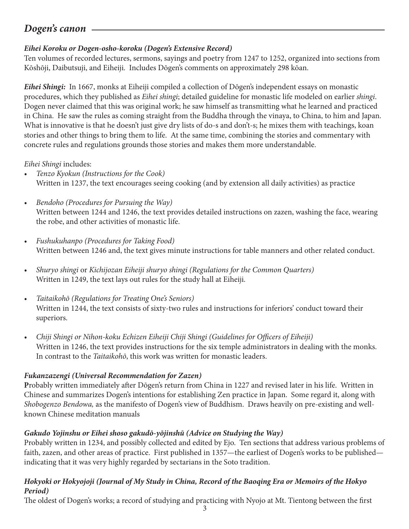# *Dogen's canon*

# *Eihei Koroku or Dogen-osho-koroku (Dogen's Extensive Record)*

Ten volumes of recorded lectures, sermons, sayings and poetry from 1247 to 1252, organized into sections from Kōshōji, Daibutsuji, and Eiheiji. Includes Dōgen's comments on approximately 298 kōan.

*Eihei Shingi:* In 1667, monks at Eiheiji compiled a collection of Dōgen's independent essays on monastic procedures, which they published as *Eihei shingi*; detailed guideline for monastic life modeled on earlier *shingi*. Dogen never claimed that this was original work; he saw himself as transmitting what he learned and practiced in China. He saw the rules as coming straight from the Buddha through the vinaya, to China, to him and Japan. What is innovative is that he doesn't just give dry lists of do-s and don't-s; he mixes them with teachings, koan stories and other things to bring them to life. At the same time, combining the stories and commentary with concrete rules and regulations grounds those stories and makes them more understandable.

# *Eihei Shingi* includes:

- *• Tenzo Kyokun (Instructions for the Cook)* Written in 1237, the text encourages seeing cooking (and by extension all daily activities) as practice
- *• Bendoho (Procedures for Pursuing the Way)* Written between 1244 and 1246, the text provides detailed instructions on zazen, washing the face, wearing the robe, and other activities of monastic life.
- *• Fushukuhanpo (Procedures for Taking Food)* Written between 1246 and, the text gives minute instructions for table manners and other related conduct.
- *• Shuryo shingi* or *Kichijozan Eiheiji shuryo shingi (Regulations for the Common Quarters)* Written in 1249, the text lays out rules for the study hall at Eiheiji.
- *• Taitaikohō (Regulations for Treating One's Seniors)*  Written in 1244, the text consists of sixty-two rules and instructions for inferiors' conduct toward their superiors.
- *• Chiji Shingi or Nihon-koku Echizen Eiheiji Chiji Shingi (Guidelines for Officers of Eiheiji)* Written in 1246, the text provides instructions for the six temple administrators in dealing with the monks. In contrast to the *Taitaikohō*, this work was written for monastic leaders.

# *Fukanzazengi (Universal Recommendation for Zazen)*

**P**robably written immediately after Dōgen's return from China in 1227 and revised later in his life. Written in Chinese and summarizes Dogen's intentions for establishing Zen practice in Japan. Some regard it, along with *Shobogenzo Bendowa,* as the manifesto of Dogen's view of Buddhism. Draws heavily on pre-existing and wellknown Chinese meditation manuals

# *Gakudo Yojinshu or Eihei shoso gakudō-yōjinshū (Advice on Studying the Way)*

Probably written in 1234, and possibly collected and edited by Ejo. Ten sections that address various problems of faith, zazen, and other areas of practice. First published in 1357—the earliest of Dogen's works to be published indicating that it was very highly regarded by sectarians in the Soto tradition.

# *Hokyoki or Hokyojoji (Journal of My Study in China, Record of the Baoqing Era or Memoirs of the Hokyo Period)*

The oldest of Dogen's works; a record of studying and practicing with Nyojo at Mt. Tientong between the first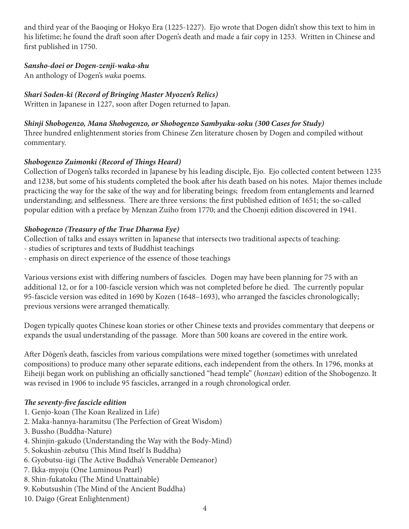and third year of the Baoqing or Hokyo Era (1225-1227). Ejo wrote that Dogen didn't show this text to him in his lifetime; he found the draft soon after Dogen's death and made a fair copy in 1253. Written in Chinese and first published in 1750.

### *Sansho-doei or Dogen-zenji-waka-shu*

An anthology of Dogen's *waka* poems.

# *Shari Soden-ki (Record of Bringing Master Myozen's Relics)*

Written in Japanese in 1227, soon after Dogen returned to Japan.

# *Shinji Shobogenzo, Mana Shobogenzo, or Shobogenzo Sambyaku-soku (300 Cases for Study)*

Three hundred enlightenment stories from Chinese Zen literature chosen by Dogen and compiled without commentary.

# *Shobogenzo Zuimonki (Record of Things Heard)*

Collection of Dogen's talks recorded in Japanese by his leading disciple, Ejo. Ejo collected content between 1235 and 1238, but some of his students completed the book after his death based on his notes. Major themes include practicing the way for the sake of the way and for liberating beings; freedom from entanglements and learned understanding; and selflessness. There are three versions: the first published edition of 1651; the so-called popular edition with a preface by Menzan Zuiho from 1770; and the Choenji edition discovered in 1941.

# *Shobogenzo (Treasury of the True Dharma Eye)*

Collection of talks and essays written in Japanese that intersects two traditional aspects of teaching:

- studies of scriptures and texts of Buddhist teachings
- emphasis on direct experience of the essence of those teachings

Various versions exist with differing numbers of fascicles. Dogen may have been planning for 75 with an additional 12, or for a 100-fascicle version which was not completed before he died. The currently popular 95-fascicle version was edited in 1690 by Kozen (1648–1693), who arranged the fascicles chronologically; previous versions were arranged thematically.

Dogen typically quotes Chinese koan stories or other Chinese texts and provides commentary that deepens or expands the usual understanding of the passage. More than 500 koans are covered in the entire work.

After Dōgen's death, fascicles from various compilations were mixed together (sometimes with unrelated compositions) to produce many other separate editions, each independent from the others. In 1796, monks at Eiheiji began work on publishing an officially sanctioned "head temple" (*honzan*) edition of the Shobogenzo. It was revised in 1906 to include 95 fascicles, arranged in a rough chronological order.

# *The seventy-five fascicle edition*

- 1. Genjo-koan (The Koan Realized in Life)
- 2. Maka-hannya-haramitsu (The Perfection of Great Wisdom)
- 3. Bussho (Buddha-Nature)
- 4. Shinjin-gakudo (Understanding the Way with the Body-Mind)
- 5. Sokushin-zebutsu (This Mind Itself Is Buddha)
- 6. Gyobutsu-iigi (The Active Buddha's Venerable Demeanor)
- 7. Ikka-myoju (One Luminous Pearl)
- 8. Shin-fukatoku (The Mind Unattainable)
- 9. Kobutsushin (The Mind of the Ancient Buddha)
- 10. Daigo (Great Enlightenment)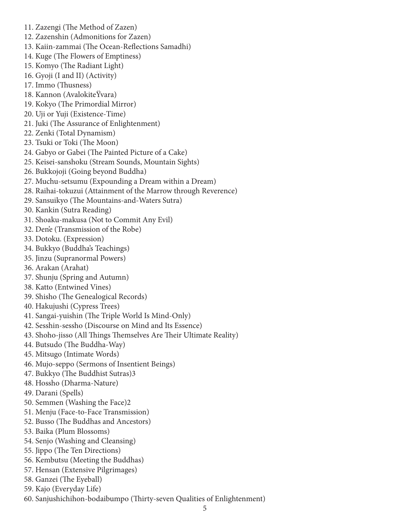- 11. Zazengi (The Method of Zazen)
- 12. Zazenshin (Admonitions for Zazen)
- 13. Kaiin-zammai (The Ocean-Reflections Samadhi)
- 14. Kuge (The Flowers of Emptiness)
- 15. Komyo (The Radiant Light)
- 16. Gyoji (I and II) (Activity)
- 17. Immo (Thusness)
- 18. Kannon (AvalokiteŸvara)
- 19. Kokyo (The Primordial Mirror)
- 20. Uji or Yuji (Existence-Time)
- 21. Juki (The Assurance of Enlightenment)
- 22. Zenki (Total Dynamism)
- 23. Tsuki or Toki (The Moon)
- 24. Gabyo or Gabei (The Painted Picture of a Cake)
- 25. Keisei-sanshoku (Stream Sounds, Mountain Sights)
- 26. Bukkojoji (Going beyond Buddha)
- 27. Muchu-setsumu (Expounding a Dream within a Dream)
- 28. Raihai-tokuzui (Attainment of the Marrow through Reverence)
- 29. Sansuikyo (The Mountains-and-Waters Sutra)
- 30. Kankin (Sutra Reading)
- 31. Shoaku-makusa (Not to Commit Any Evil)
- 32. Den'e (Transmission of the Robe)
- 33. Dotoku. (Expression)
- 34. Bukkyo (Buddha's Teachings)
- 35. Jinzu (Supranormal Powers)
- 36. Arakan (Arahat)
- 37. Shunju (Spring and Autumn)
- 38. Katto (Entwined Vines)
- 39. Shisho (The Genealogical Records)
- 40. Hakujushi (Cypress Trees)
- 41. Sangai-yuishin (The Triple World Is Mind-Only)
- 42. Sesshin-sessho (Discourse on Mind and Its Essence)
- 43. Shoho-jisso (All Things Themselves Are Their Ultimate Reality)
- 44. Butsudo (The Buddha-Way)
- 45. Mitsugo (Intimate Words)
- 46. Mujo-seppo (Sermons of Insentient Beings)
- 47. Bukkyo (The Buddhist Sutras)3
- 48. Hossho (Dharma-Nature)
- 49. Darani (Spells)
- 50. Semmen (Washing the Face)2
- 51. Menju (Face-to-Face Transmission)
- 52. Busso (The Buddhas and Ancestors)
- 53. Baika (Plum Blossoms)
- 54. Senjo (Washing and Cleansing)
- 55. Jippo (The Ten Directions)
- 56. Kembutsu (Meeting the Buddhas)
- 57. Hensan (Extensive Pilgrimages)
- 58. Ganzei (The Eyeball)
- 59. Kajo (Everyday Life)
- 60. Sanjushichihon-bodaibumpo (Thirty-seven Qualities of Enlightenment)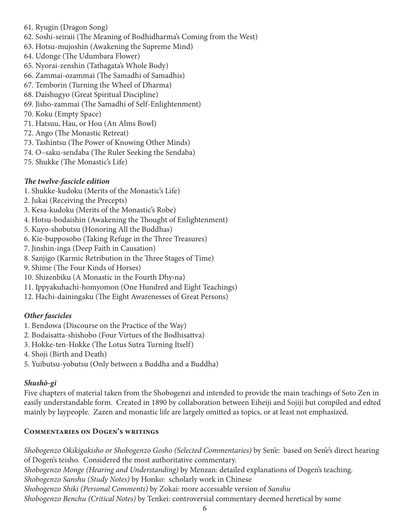- 61. Ryugin (Dragon Song)
- 62. Soshi-seiraii (The Meaning of Bodhidharma's Coming from the West)
- 63. Hotsu-mujoshin (Awakening the Supreme Mind)
- 64. Udonge (The Udumbara Flower)
- 65. Nyorai-zenshin (Tathagata's Whole Body)
- 66. Zammai-ozammai (The Samadhi of Samadhis)
- 67. Temborin (Turning the Wheel of Dharma)
- 68. Daishugyo (Great Spiritual Discipline)
- 69. Jisho-zammai (The Samadhi of Self-Enlightenment)
- 70. Koku (Empty Space)
- 71. Hatsuu, Hau, or Hou (An Alms Bowl)
- 72. Ango (The Monastic Retreat)
- 73. Tashintsu (The Power of Knowing Other Minds)
- 74. O–saku-sendaba (The Ruler Seeking the Sendaba)
- 75. Shukke (The Monastic's Life)

# *The twelve-fascicle edition*

- 1. Shukke-kudoku (Merits of the Monastic's Life)
- 2. Jukai (Receiving the Precepts)
- 3. Kesa-kudoku (Merits of the Monastic's Robe)
- 4. Hotsu-bodaishin (Awakening the Thought of Enlightenment)
- 5. Kuyo-shobutsu (Honoring All the Buddhas)
- 6. Kie-bupposobo (Taking Refuge in the Three Treasures)
- 7. Jinshin-inga (Deep Faith in Causation)
- 8. Sanjigo (Karmic Retribution in the Three Stages of Time)
- 9. Shime (The Four Kinds of Horses)
- 10. Shizenbiku (A Monastic in the Fourth Dhy›na)
- 11. Ippyakuhachi-homyomon (One Hundred and Eight Teachings)
- 12. Hachi-dainingaku (The Eight Awarenesses of Great Persons)

# *Other fascicles*

- 1. Bendowa (Discourse on the Practice of the Way)
- 2. Bodaisatta-shishobo (Four Virtues of the Bodhisattva)
- 3. Hokke-ten-Hokke (The Lotus Sutra Turning Itself)
- 4. Shoji (Birth and Death)
- 5. Yuibutsu-yobutsu (Only between a Buddha and a Buddha)

# *Shushō-gi*

Five chapters of material taken from the Shobogenzi and intended to provide the main teachings of Soto Zen in easily understandable form. Created in 1890 by collaboration between Eiheiji and Sojiji but compiled and edted mainly by laypeople. Zazen and monastic life are largely omitted as topics, or at least not emphasized.

# **Commentaries on Dogen's writings**

*Shobogenzo Okikigakisho or Shobogenzo Gosho (Selected Commentaries)* by Sen'e: based on Sen'e's direct hearing of Dogen's teisho. Considered the most authoritative commentary. *Shobogenzo Monge (Hearing and Understanding)* by Menzan: detailed explanations of Dogen's teaching. *Shobogenzo Sanshu (Study Notes)* by Honko: scholarly work in Chinese *Shobogenzo Shiki (Personal Comments)* by Zokai: more accessable version of *Sanshu Shobogenzo Benchu (Critical Notes)* by Tenkei: controversial commentary deemed heretical by some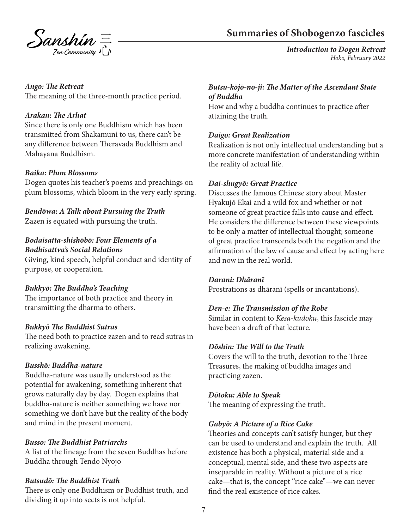

# **Summaries of Shobogenzo fascicles**

*Introduction to Dogen Retreat Hoko, February 2022*

### *Ango: The Retreat*

The meaning of the three-month practice period.

### *Arakan: The Arhat*

Since there is only one Buddhism which has been transmitted from Shakamuni to us, there can't be any difference between Theravada Buddhism and Mahayana Buddhism.

### *Baika: Plum Blossoms*

Dogen quotes his teacher's poems and preachings on plum blossoms, which bloom in the very early spring.

*Bendōwa: A Talk about Pursuing the Truth* Zazen is equated with pursuing the truth.

### *Bodaisatta-shishōbō: Four Elements of a Bodhisattva's Social Relations*

Giving, kind speech, helpful conduct and identity of purpose, or cooperation.

### *Bukkyō: The Buddha's Teaching*

The importance of both practice and theory in transmitting the dharma to others.

### *Bukkyō The Buddhist Sutras*

The need both to practice zazen and to read sutras in realizing awakening.

# *Busshō: Buddha-nature*

Buddha-nature was usually understood as the potential for awakening, something inherent that grows naturally day by day. Dogen explains that buddha-nature is neither something we have nor something we don't have but the reality of the body and mind in the present moment.

### *Busso: The Buddhist Patriarchs*

A list of the lineage from the seven Buddhas before Buddha through Tendo Nyojo

### *Butsudō: The Buddhist Truth*

There is only one Buddhism or Buddhist truth, and dividing it up into sects is not helpful.

### *Butsu-kōjō-no-ji: The Matter of the Ascendant State of Buddha*

How and why a buddha continues to practice after attaining the truth.

### *Daigo: Great Realization*

Realization is not only intellectual understanding but a more concrete manifestation of understanding within the reality of actual life.

### *Dai-shugyō: Great Practice*

Discusses the famous Chinese story about Master Hyakujō Ekai and a wild fox and whether or not someone of great practice falls into cause and effect. He considers the difference between these viewpoints to be only a matter of intellectual thought; someone of great practice transcends both the negation and the affirmation of the law of cause and effect by acting here and now in the real world.

### *Darani: Dhāranī*

Prostrations as dhāranī (spells or incantations).

### *Den-e: The Transmission of the Robe*

Similar in content to *Kesa-kudoku*, this fascicle may have been a draft of that lecture.

### *Dōshin: The Will to the Truth*

Covers the will to the truth, devotion to the Three Treasures, the making of buddha images and practicing zazen.

### *Dōtoku: Able to Speak*

The meaning of expressing the truth.

### *Gabyō: A Picture of a Rice Cake*

Theories and concepts can't satisfy hunger, but they can be used to understand and explain the truth. All existence has both a physical, material side and a conceptual, mental side, and these two aspects are inseparable in reality. Without a picture of a rice cake—that is, the concept "rice cake"—we can never find the real existence of rice cakes.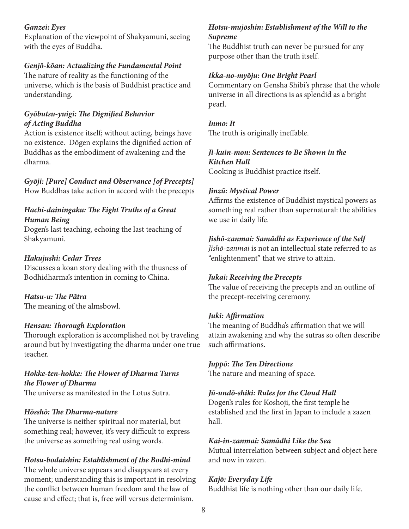### *Ganzei: Eyes*

Explanation of the viewpoint of Shakyamuni, seeing with the eyes of Buddha.

### *Genjō-kōan: Actualizing the Fundamental Point*

The nature of reality as the functioning of the universe, which is the basis of Buddhist practice and understanding.

### *Gyōbutsu-yuigi: The Dignified Behavior of Acting Buddha*

Action is existence itself; without acting, beings have no existence. Dōgen explains the dignified action of Buddhas as the embodiment of awakening and the dharma.

*Gyōji: [Pure] Conduct and Observance [of Precepts]* How Buddhas take action in accord with the precepts

# *Hachi-dainingaku: The Eight Truths of a Great Human Being*

Dogen's last teaching, echoing the last teaching of Shakyamuni.

### *Hakujushi: Cedar Trees*

Discusses a koan story dealing with the thusness of Bodhidharma's intention in coming to China.

### *Hatsu-u: The Pātra*

The meaning of the almsbowl.

### *Hensan: Thorough Exploration*

Thorough exploration is accomplished not by traveling around but by investigating the dharma under one true teacher.

### *Hokke-ten-hokke: The Flower of Dharma Turns the Flower of Dharma*

The universe as manifested in the Lotus Sutra.

### *Hōsshō: The Dharma-nature*

The universe is neither spiritual nor material, but something real; however, it's very difficult to express the universe as something real using words.

### *Hotsu-bodaishin: Establishment of the Bodhi-mind*

The whole universe appears and disappears at every moment; understanding this is important in resolving the conflict between human freedom and the law of cause and effect; that is, free will versus determinism.

### *Hotsu-mujōshin: Establishment of the Will to the Supreme*

The Buddhist truth can never be pursued for any purpose other than the truth itself.

### *Ikka-no-myōju: One Bright Pearl*

Commentary on Gensha Shibi's phrase that the whole universe in all directions is as splendid as a bright pearl.

#### *Inmo: It*

The truth is originally ineffable.

### *Ji-kuin-mon: Sentences to Be Shown in the Kitchen Hall*

Cooking is Buddhist practice itself.

### *Jinzū: Mystical Power*

Affirms the existence of Buddhist mystical powers as something real rather than supernatural: the abilities we use in daily life.

### *Jishō-zanmai: Samādhi as Experience of the Self*

*Jishō-zanmai* is not an intellectual state referred to as "enlightenment" that we strive to attain.

### *Jukai: Receiving the Precepts*

The value of receiving the precepts and an outline of the precept-receiving ceremony.

### *Juki: Affirmation*

The meaning of Buddha's affirmation that we will attain awakening and why the sutras so often describe such affirmations.

#### *Juppō: The Ten Directions*

The nature and meaning of space.

### *Jū-undō-shiki: Rules for the Cloud Hall*

Dogen's rules for Koshoji, the first temple he established and the first in Japan to include a zazen hall.

### *Kai-in-zanmai: Samādhi Like the Sea*

Mutual interrelation between subject and object here and now in zazen.

### *Kajō: Everyday Life*

Buddhist life is nothing other than our daily life.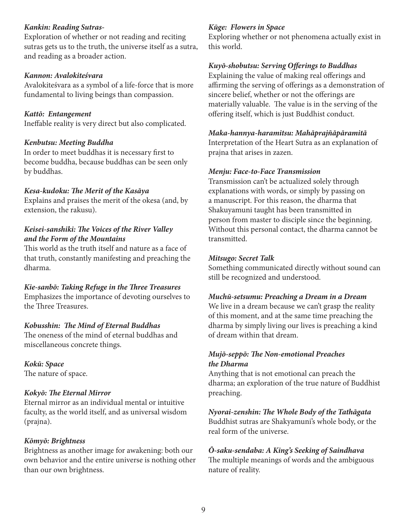### *Kankin: Reading Sutras-*

Exploration of whether or not reading and reciting sutras gets us to the truth, the universe itself as a sutra, and reading as a broader action.

### *Kannon: Avalokiteśvara*

Avalokiteśvara as a symbol of a life-force that is more fundamental to living beings than compassion.

### *Kattō: Entangement*

Ineffable reality is very direct but also complicated.

### *Kenbutsu: Meeting Buddha*

In order to meet buddhas it is necessary first to become buddha, because buddhas can be seen only by buddhas.

### *Kesa-kudoku: The Merit of the Kasāya*

Explains and praises the merit of the okesa (and, by extension, the rakusu).

# *Keisei-sanshiki: The Voices of the River Valley and the Form of the Mountains*

This world as the truth itself and nature as a face of that truth, constantly manifesting and preaching the dharma.

# *Kie-sanbō: Taking Refuge in the Three Treasures*

Emphasizes the importance of devoting ourselves to the Three Treasures.

### *Kobusshin: The Mind of Eternal Buddhas*

The oneness of the mind of eternal buddhas and miscellaneous concrete things.

# *Kokū: Space*

The nature of space.

### *Kokyō: The Eternal Mirror*

Eternal mirror as an individual mental or intuitive faculty, as the world itself, and as universal wisdom (prajna).

### *Kōmyō: Brightness*

Brightness as another image for awakening: both our own behavior and the entire universe is nothing other than our own brightness.

### *Kūge: Flowers in Space*

Exploring whether or not phenomena actually exist in this world.

### *Kuyō-shobutsu: Serving Offerings to Buddhas*

Explaining the value of making real offerings and affirming the serving of offerings as a demonstration of sincere belief, whether or not the offerings are materially valuable. The value is in the serving of the offering itself, which is just Buddhist conduct.

### *Maka-hannya-haramitsu: Mahāprajñāpāramitā*

Interpretation of the Heart Sutra as an explanation of prajna that arises in zazen.

### *Menju: Face-to-Face Transmission*

Transmission can't be actualized solely through explanations with words, or simply by passing on a manuscript. For this reason, the dharma that Shakuyamuni taught has been transmitted in person from master to disciple since the beginning. Without this personal contact, the dharma cannot be transmitted.

### *Mitsugo: Secret Talk*

Something communicated directly without sound can still be recognized and understood.

### *Muchū-setsumu: Preaching a Dream in a Dream*

We live in a dream because we can't grasp the reality of this moment, and at the same time preaching the dharma by simply living our lives is preaching a kind of dream within that dream.

# *Mujō-seppō: The Non-emotional Preaches the Dharma*

Anything that is not emotional can preach the dharma; an exploration of the true nature of Buddhist preaching.

*Nyorai-zenshin: The Whole Body of the Tathāgata* Buddhist sutras are Shakyamuni's whole body, or the real form of the universe.

# *Ō-saku-sendaba: A King's Seeking of Saindhava* The multiple meanings of words and the ambiguous nature of reality.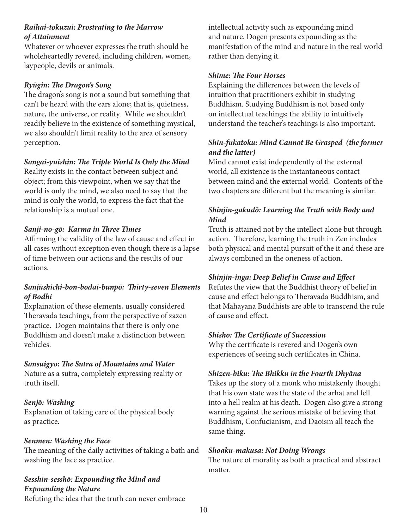### *Raihai-tokuzui: Prostrating to the Marrow of Attainment*

Whatever or whoever expresses the truth should be wholeheartedly revered, including children, women, laypeople, devils or animals.

### *Ryūgin: The Dragon's Song*

The dragon's song is not a sound but something that can't be heard with the ears alone; that is, quietness, nature, the universe, or reality. While we shouldn't readily believe in the existence of something mystical, we also shouldn't limit reality to the area of sensory perception.

### *Sangai-yuishin: The Triple World Is Only the Mind*

Reality exists in the contact between subject and object; from this viewpoint, when we say that the world is only the mind, we also need to say that the mind is only the world, to express the fact that the relationship is a mutual one.

# *Sanji-no-gō: Karma in Three Times*

Affirming the validity of the law of cause and effect in all cases without exception even though there is a lapse of time between our actions and the results of our actions.

# *Sanjūshichi-bon-bodai-bunpō: Thirty-seven Elements of Bodhi*

Explaination of these elements, usually considered Theravada teachings, from the perspective of zazen practice. Dogen maintains that there is only one Buddhism and doesn't make a distinction between vehicles.

### *Sansuigyo: The Sutra of Mountains and Water*

Nature as a sutra, completely expressing reality or truth itself.

### *Senjō: Washing*

Explanation of taking care of the physical body as practice.

### *Senmen: Washing the Face*

The meaning of the daily activities of taking a bath and washing the face as practice.

# *Sesshin-sesshō: Expounding the Mind and Expounding the Nature*

Refuting the idea that the truth can never embrace

intellectual activity such as expounding mind and nature. Dogen presents expounding as the manifestation of the mind and nature in the real world rather than denying it.

# *Shime: The Four Horses*

Explaining the differences between the levels of intuition that practitioners exhibit in studying Buddhism. Studying Buddhism is not based only on intellectual teachings; the ability to intuitively understand the teacher's teachings is also important.

# *Shin-fukatoku: Mind Cannot Be Grasped (the former and the latter)*

Mind cannot exist independently of the external world, all existence is the instantaneous contact between mind and the external world. Contents of the two chapters are different but the meaning is similar.

# *Shinjin-gakudō: Learning the Truth with Body and Mind*

Truth is attained not by the intellect alone but through action. Therefore, learning the truth in Zen includes both physical and mental pursuit of the it and these are always combined in the oneness of action.

### *Shinjin-inga: Deep Belief in Cause and Effect*

Refutes the view that the Buddhist theory of belief in cause and effect belongs to Theravada Buddhism, and that Mahayana Buddhists are able to transcend the rule of cause and effect.

### *Shisho: The Certificate of Succession*

Why the certificate is revered and Dogen's own experiences of seeing such certificates in China.

### *Shizen-biku: The Bhikku in the Fourth Dhyāna*

Takes up the story of a monk who mistakenly thought that his own state was the state of the arhat and fell into a hell realm at his death. Dogen also give a strong warning against the serious mistake of believing that Buddhism, Confucianism, and Daoism all teach the same thing.

### *Shoaku-makusa: Not Doing Wrongs*

The nature of morality as both a practical and abstract matter.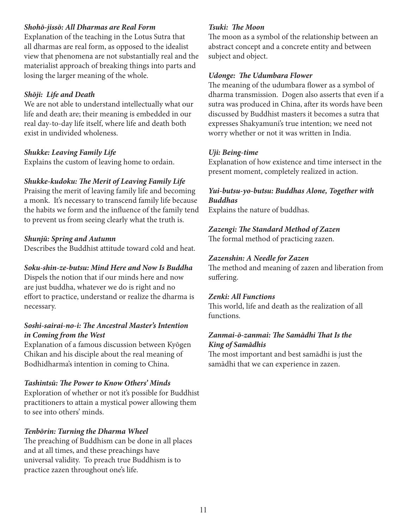### *Shohō-jissō: All Dharmas are Real Form*

Explanation of the teaching in the Lotus Sutra that all dharmas are real form, as opposed to the idealist view that phenomena are not substantially real and the materialist approach of breaking things into parts and losing the larger meaning of the whole.

### *Shōji: Life and Death*

We are not able to understand intellectually what our life and death are; their meaning is embedded in our real day-to-day life itself, where life and death both exist in undivided wholeness.

### *Shukke: Leaving Family Life*

Explains the custom of leaving home to ordain.

### *Shukke-kudoku: The Merit of Leaving Family Life*

Praising the merit of leaving family life and becoming a monk. It's necessary to transcend family life because the habits we form and the influence of the family tend to prevent us from seeing clearly what the truth is.

### *Shunjū: Spring and Autumn*

Describes the Buddhist attitude toward cold and heat.

### *Soku-shin-ze-butsu: Mind Here and Now Is Buddha*

Dispels the notion that if our minds here and now are just buddha, whatever we do is right and no effort to practice, understand or realize the dharma is necessary.

# *Soshi-sairai-no-i: The Ancestral Master's Intention in Coming from the West*

Explanation of a famous discussion between Kyōgen Chikan and his disciple about the real meaning of Bodhidharma's intention in coming to China.

### *Tashintsū: The Power to Know Others' Minds*

Exploration of whether or not it's possible for Buddhist practitioners to attain a mystical power allowing them to see into others' minds.

### *Tenbōrin: Turning the Dharma Wheel*

The preaching of Buddhism can be done in all places and at all times, and these preachings have universal validity. To preach true Buddhism is to practice zazen throughout one's life.

### *Tsuki: The Moon*

The moon as a symbol of the relationship between an abstract concept and a concrete entity and between subject and object.

### *Udonge: The Udumbara Flower*

The meaning of the udumbara flower as a symbol of dharma transmission. Dogen also asserts that even if a sutra was produced in China, after its words have been discussed by Buddhist masters it becomes a sutra that expresses Shakyamuni's true intention; we need not worry whether or not it was written in India.

### *Uji: Being-time*

Explanation of how existence and time intersect in the present moment, completely realized in action.

### *Yui-butsu-yo-butsu: Buddhas Alone, Together with Buddhas*

Explains the nature of buddhas.

### *Zazengi: The Standard Method of Zazen*

The formal method of practicing zazen.

### *Zazenshin: A Needle for Zazen*

The method and meaning of zazen and liberation from suffering.

### *Zenki: All Functions*

This world, life and death as the realization of all functions.

### *Zanmai-ō-zanmai: The Samādhi That Is the King of Samādhis*

The most important and best samādhi is just the samādhi that we can experience in zazen.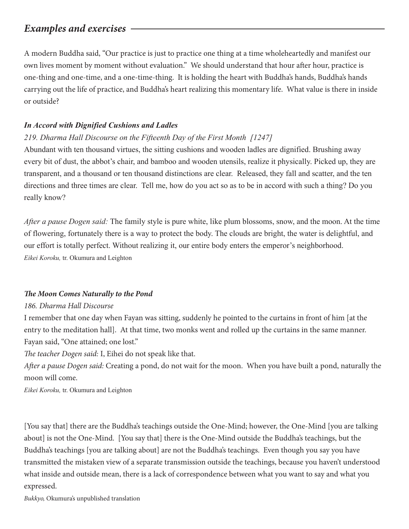# *Examples and exercises*

A modern Buddha said, "Our practice is just to practice one thing at a time wholeheartedly and manifest our own lives moment by moment without evaluation." We should understand that hour after hour, practice is one-thing and one-time, and a one-time-thing. It is holding the heart with Buddha's hands, Buddha's hands carrying out the life of practice, and Buddha's heart realizing this momentary life. What value is there in inside or outside?

# *In Accord with Dignified Cushions and Ladles*

# *219. Dharma Hall Discourse on the Fifteenth Day of the First Month [1247]*

Abundant with ten thousand virtues, the sitting cushions and wooden ladles are dignified. Brushing away every bit of dust, the abbot's chair, and bamboo and wooden utensils, realize it physically. Picked up, they are transparent, and a thousand or ten thousand distinctions are clear. Released, they fall and scatter, and the ten directions and three times are clear. Tell me, how do you act so as to be in accord with such a thing? Do you really know?

*After a pause Dogen said:* The family style is pure white, like plum blossoms, snow, and the moon. At the time of flowering, fortunately there is a way to protect the body. The clouds are bright, the water is delightful, and our effort is totally perfect. Without realizing it, our entire body enters the emperor's neighborhood. *Eikei Koroku,* tr. Okumura and Leighton

# *The Moon Comes Naturally to the Pond*

### *186. Dharma Hall Discourse*

I remember that one day when Fayan was sitting, suddenly he pointed to the curtains in front of him [at the entry to the meditation hall]. At that time, two monks went and rolled up the curtains in the same manner. Fayan said, "One attained; one lost."

*The teacher Dogen said:* I, Eihei do not speak like that.

*After a pause Dogen said:* Creating a pond, do not wait for the moon. When you have built a pond, naturally the moon will come.

*Eikei Koroku,* tr. Okumura and Leighton

[You say that] there are the Buddha's teachings outside the One-Mind; however, the One-Mind [you are talking about] is not the One-Mind. [You say that] there is the One-Mind outside the Buddha's teachings, but the Buddha's teachings [you are talking about] are not the Buddha's teachings. Even though you say you have transmitted the mistaken view of a separate transmission outside the teachings, because you haven't understood what inside and outside mean, there is a lack of correspondence between what you want to say and what you expressed.

*Bukkyo,* Okumura's unpublished translation